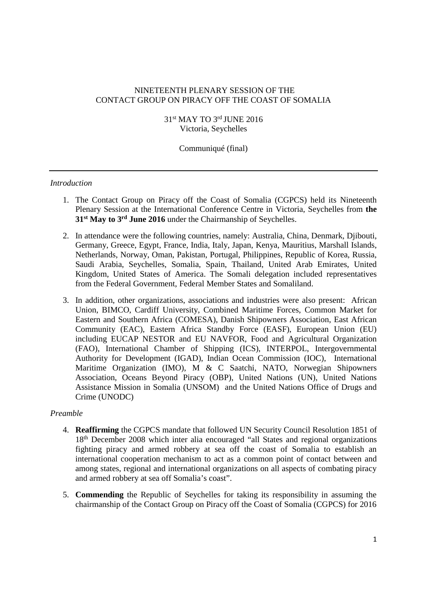# NINETEENTH PLENARY SESSION OF THE CONTACT GROUP ON PIRACY OFF THE COAST OF SOMALIA

31<sup>st</sup> MAY TO 3<sup>rd</sup> JUNE 2016 Victoria, Seychelles

Communiqué (final)

## *Introduction*

- 1. The Contact Group on Piracy off the Coast of Somalia (CGPCS) held its Nineteenth Plenary Session at the International Conference Centre in Victoria, Seychelles from **the 31st May to 3rd June 2016** under the Chairmanship of Seychelles.
- 2. In attendance were the following countries, namely: Australia, China, Denmark, Diibouti, Germany, Greece, Egypt, France, India, Italy, Japan, Kenya, Mauritius, Marshall Islands, Netherlands, Norway, Oman, Pakistan, Portugal, Philippines, Republic of Korea, Russia, Saudi Arabia, Seychelles, Somalia, Spain, Thailand, United Arab Emirates, United Kingdom, United States of America. The Somali delegation included representatives from the Federal Government, Federal Member States and Somaliland.
- 3. In addition, other organizations, associations and industries were also present: African Union, BIMCO, Cardiff University, Combined Maritime Forces, Common Market for Eastern and Southern Africa (COMESA), Danish Shipowners Association, East African Community (EAC), Eastern Africa Standby Force (EASF), European Union (EU) including EUCAP NESTOR and EU NAVFOR, Food and Agricultural Organization (FAO), International Chamber of Shipping (ICS), INTERPOL, Intergovernmental Authority for Development (IGAD), Indian Ocean Commission (IOC), International Maritime Organization (IMO), M & C Saatchi, NATO, Norwegian Shipowners Association, Oceans Beyond Piracy (OBP), United Nations (UN), United Nations Assistance Mission in Somalia (UNSOM) and the United Nations Office of Drugs and Crime (UNODC)

#### *Preamble*

- 4. **Reaffirming** the CGPCS mandate that followed UN Security Council Resolution 1851 of 18th December 2008 which inter alia encouraged "all States and regional organizations fighting piracy and armed robbery at sea off the coast of Somalia to establish an international cooperation mechanism to act as a common point of contact between and among states, regional and international organizations on all aspects of combating piracy and armed robbery at sea off Somalia's coast".
- 5. **Commending** the Republic of Seychelles for taking its responsibility in assuming the chairmanship of the Contact Group on Piracy off the Coast of Somalia (CGPCS) for 2016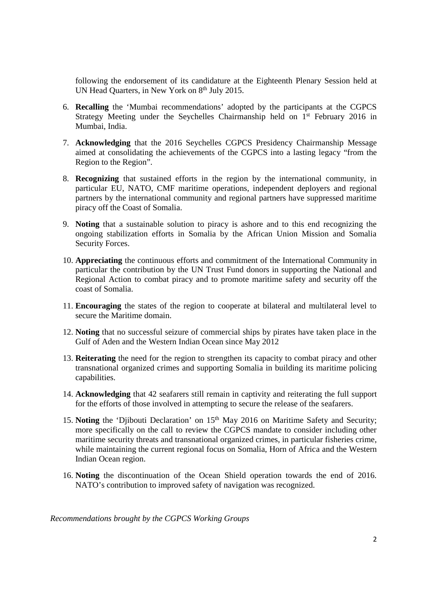following the endorsement of its candidature at the Eighteenth Plenary Session held at UN Head Quarters, in New York on 8<sup>th</sup> July 2015.

- 6. **Recalling** the 'Mumbai recommendations' adopted by the participants at the CGPCS Strategy Meeting under the Seychelles Chairmanship held on  $1<sup>st</sup>$  February 2016 in Mumbai, India.
- 7. **Acknowledging** that the 2016 Seychelles CGPCS Presidency Chairmanship Message aimed at consolidating the achievements of the CGPCS into a lasting legacy "from the Region to the Region".
- 8. **Recognizing** that sustained efforts in the region by the international community, in particular EU, NATO, CMF maritime operations, independent deployers and regional partners by the international community and regional partners have suppressed maritime piracy off the Coast of Somalia.
- 9. **Noting** that a sustainable solution to piracy is ashore and to this end recognizing the ongoing stabilization efforts in Somalia by the African Union Mission and Somalia Security Forces.
- 10. **Appreciating** the continuous efforts and commitment of the International Community in particular the contribution by the UN Trust Fund donors in supporting the National and Regional Action to combat piracy and to promote maritime safety and security off the coast of Somalia.
- 11. **Encouraging** the states of the region to cooperate at bilateral and multilateral level to secure the Maritime domain.
- 12. **Noting** that no successful seizure of commercial ships by pirates have taken place in the Gulf of Aden and the Western Indian Ocean since May 2012
- 13. **Reiterating** the need for the region to strengthen its capacity to combat piracy and other transnational organized crimes and supporting Somalia in building its maritime policing capabilities.
- 14. **Acknowledging** that 42 seafarers still remain in captivity and reiterating the full support for the efforts of those involved in attempting to secure the release of the seafarers.
- 15. **Noting** the 'Djibouti Declaration' on 15<sup>th</sup> May 2016 on Maritime Safety and Security; more specifically on the call to review the CGPCS mandate to consider including other maritime security threats and transnational organized crimes, in particular fisheries crime, while maintaining the current regional focus on Somalia, Horn of Africa and the Western Indian Ocean region.
- 16. **Noting** the discontinuation of the Ocean Shield operation towards the end of 2016. NATO's contribution to improved safety of navigation was recognized.

*Recommendations brought by the CGPCS Working Groups*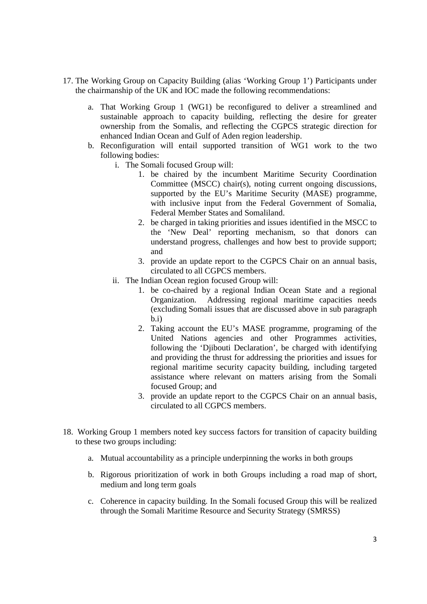- 17. The Working Group on Capacity Building (alias 'Working Group 1') Participants under the chairmanship of the UK and IOC made the following recommendations:
	- a. That Working Group 1 (WG1) be reconfigured to deliver a streamlined and sustainable approach to capacity building, reflecting the desire for greater ownership from the Somalis, and reflecting the CGPCS strategic direction for enhanced Indian Ocean and Gulf of Aden region leadership.
	- b. Reconfiguration will entail supported transition of WG1 work to the two following bodies:
		- i. The Somali focused Group will:
			- 1. be chaired by the incumbent Maritime Security Coordination Committee (MSCC) chair(s), noting current ongoing discussions, supported by the EU's Maritime Security (MASE) programme, with inclusive input from the Federal Government of Somalia, Federal Member States and Somaliland.
			- 2. be charged in taking priorities and issues identified in the MSCC to the 'New Deal' reporting mechanism, so that donors can understand progress, challenges and how best to provide support; and
			- 3. provide an update report to the CGPCS Chair on an annual basis, circulated to all CGPCS members.
		- ii. The Indian Ocean region focused Group will:
			- 1. be co-chaired by a regional Indian Ocean State and a regional Organization. Addressing regional maritime capacities needs (excluding Somali issues that are discussed above in sub paragraph  $b$ .i)
			- 2. Taking account the EU's MASE programme, programing of the United Nations agencies and other Programmes activities, following the 'Djibouti Declaration', be charged with identifying and providing the thrust for addressing the priorities and issues for regional maritime security capacity building, including targeted assistance where relevant on matters arising from the Somali focused Group; and
			- 3. provide an update report to the CGPCS Chair on an annual basis, circulated to all CGPCS members.
- 18. Working Group 1 members noted key success factors for transition of capacity building to these two groups including:
	- a. Mutual accountability as a principle underpinning the works in both groups
	- b. Rigorous prioritization of work in both Groups including a road map of short, medium and long term goals
	- c. Coherence in capacity building. In the Somali focused Group this will be realized through the Somali Maritime Resource and Security Strategy (SMRSS)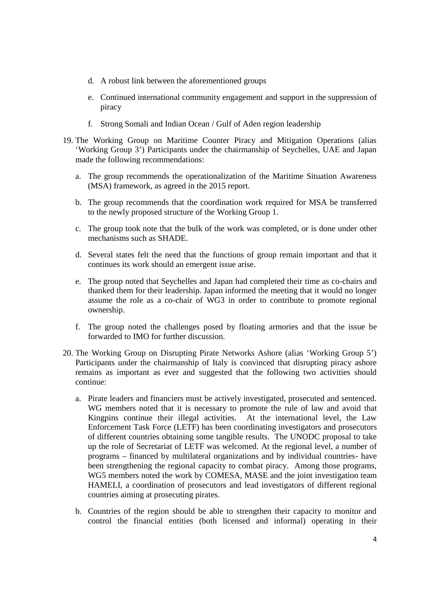- d. A robust link between the aforementioned groups
- e. Continued international community engagement and support in the suppression of piracy
- f. Strong Somali and Indian Ocean / Gulf of Aden region leadership
- 19. The Working Group on Maritime Counter Piracy and Mitigation Operations (alias 'Working Group 3') Participants under the chairmanship of Seychelles, UAE and Japan made the following recommendations:
	- a. The group recommends the operationalization of the Maritime Situation Awareness (MSA) framework, as agreed in the 2015 report.
	- b. The group recommends that the coordination work required for MSA be transferred to the newly proposed structure of the Working Group 1.
	- c. The group took note that the bulk of the work was completed, or is done under other mechanisms such as SHADE.
	- d. Several states felt the need that the functions of group remain important and that it continues its work should an emergent issue arise.
	- e. The group noted that Seychelles and Japan had completed their time as co-chairs and thanked them for their leadership. Japan informed the meeting that it would no longer assume the role as a co-chair of WG3 in order to contribute to promote regional ownership.
	- f. The group noted the challenges posed by floating armories and that the issue be forwarded to IMO for further discussion.
- 20. The Working Group on Disrupting Pirate Networks Ashore (alias 'Working Group 5') Participants under the chairmanship of Italy is convinced that disrupting piracy ashore remains as important as ever and suggested that the following two activities should continue:
	- a. Pirate leaders and financiers must be actively investigated, prosecuted and sentenced. WG members noted that it is necessary to promote the rule of law and avoid that Kingpins continue their illegal activities. At the international level, the Law Enforcement Task Force (LETF) has been coordinating investigators and prosecutors of different countries obtaining some tangible results. The UNODC proposal to take up the role of Secretariat of LETF was welcomed. At the regional level, a number of programs – financed by multilateral organizations and by individual countries- have been strengthening the regional capacity to combat piracy. Among those programs, WG5 members noted the work by COMESA, MASE and the joint investigation team HAMELI, a coordination of prosecutors and lead investigators of different regional countries aiming at prosecuting pirates.
	- b. Countries of the region should be able to strengthen their capacity to monitor and control the financial entities (both licensed and informal) operating in their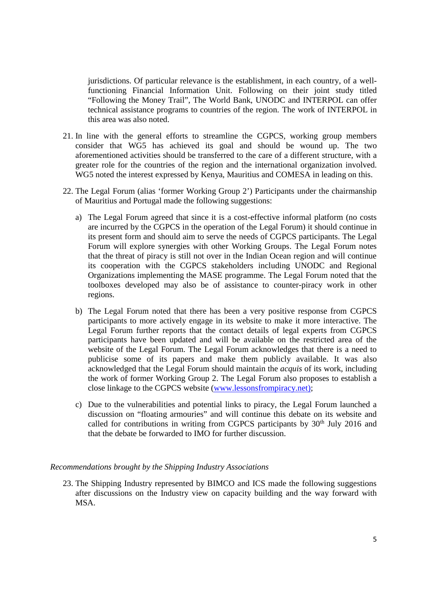jurisdictions. Of particular relevance is the establishment, in each country, of a wellfunctioning Financial Information Unit. Following on their joint study titled "Following the Money Trail", The World Bank, UNODC and INTERPOL can offer technical assistance programs to countries of the region. The work of INTERPOL in this area was also noted.

- 21. In line with the general efforts to streamline the CGPCS, working group members consider that WG5 has achieved its goal and should be wound up. The two aforementioned activities should be transferred to the care of a different structure, with a greater role for the countries of the region and the international organization involved. WG5 noted the interest expressed by Kenya, Mauritius and COMESA in leading on this.
- 22. The Legal Forum (alias 'former Working Group 2') Participants under the chairmanship of Mauritius and Portugal made the following suggestions:
	- a) The Legal Forum agreed that since it is a cost-effective informal platform (no costs are incurred by the CGPCS in the operation of the Legal Forum) it should continue in its present form and should aim to serve the needs of CGPCS participants. The Legal Forum will explore synergies with other Working Groups. The Legal Forum notes that the threat of piracy is still not over in the Indian Ocean region and will continue its cooperation with the CGPCS stakeholders including UNODC and Regional Organizations implementing the MASE programme. The Legal Forum noted that the toolboxes developed may also be of assistance to counter-piracy work in other regions.
	- b) The Legal Forum noted that there has been a very positive response from CGPCS participants to more actively engage in its website to make it more interactive. The Legal Forum further reports that the contact details of legal experts from CGPCS participants have been updated and will be available on the restricted area of the website of the Legal Forum. The Legal Forum acknowledges that there is a need to publicise some of its papers and make them publicly available. It was also acknowledged that the Legal Forum should maintain the *acquis* of its work, including the work of former Working Group 2. The Legal Forum also proposes to establish a close linkage to the CGPCS website (www.lessonsfrompiracy.net);
	- c) Due to the vulnerabilities and potential links to piracy, the Legal Forum launched a discussion on "floating armouries" and will continue this debate on its website and called for contributions in writing from CGPCS participants by  $30<sup>th</sup>$  July 2016 and that the debate be forwarded to IMO for further discussion.

#### *Recommendations brought by the Shipping Industry Associations*

23. The Shipping Industry represented by BIMCO and ICS made the following suggestions after discussions on the Industry view on capacity building and the way forward with MSA.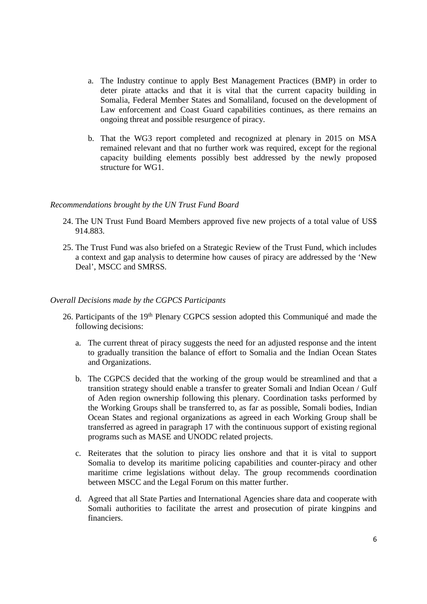- a. The Industry continue to apply Best Management Practices (BMP) in order to deter pirate attacks and that it is vital that the current capacity building in Somalia, Federal Member States and Somaliland, focused on the development of Law enforcement and Coast Guard capabilities continues, as there remains an ongoing threat and possible resurgence of piracy.
- b. That the WG3 report completed and recognized at plenary in 2015 on MSA remained relevant and that no further work was required, except for the regional capacity building elements possibly best addressed by the newly proposed structure for WG1.

#### *Recommendations brought by the UN Trust Fund Board*

- 24. The UN Trust Fund Board Members approved five new projects of a total value of US\$ 914.883.
- 25. The Trust Fund was also briefed on a Strategic Review of the Trust Fund, which includes a context and gap analysis to determine how causes of piracy are addressed by the 'New Deal', MSCC and SMRSS.

#### *Overall Decisions made by the CGPCS Participants*

- 26. Participants of the 19<sup>th</sup> Plenary CGPCS session adopted this Communiqué and made the following decisions:
	- a. The current threat of piracy suggests the need for an adjusted response and the intent to gradually transition the balance of effort to Somalia and the Indian Ocean States and Organizations.
	- b. The CGPCS decided that the working of the group would be streamlined and that a transition strategy should enable a transfer to greater Somali and Indian Ocean / Gulf of Aden region ownership following this plenary. Coordination tasks performed by the Working Groups shall be transferred to, as far as possible, Somali bodies, Indian Ocean States and regional organizations as agreed in each Working Group shall be transferred as agreed in paragraph 17 with the continuous support of existing regional programs such as MASE and UNODC related projects.
	- c. Reiterates that the solution to piracy lies onshore and that it is vital to support Somalia to develop its maritime policing capabilities and counter-piracy and other maritime crime legislations without delay. The group recommends coordination between MSCC and the Legal Forum on this matter further.
	- d. Agreed that all State Parties and International Agencies share data and cooperate with Somali authorities to facilitate the arrest and prosecution of pirate kingpins and financiers.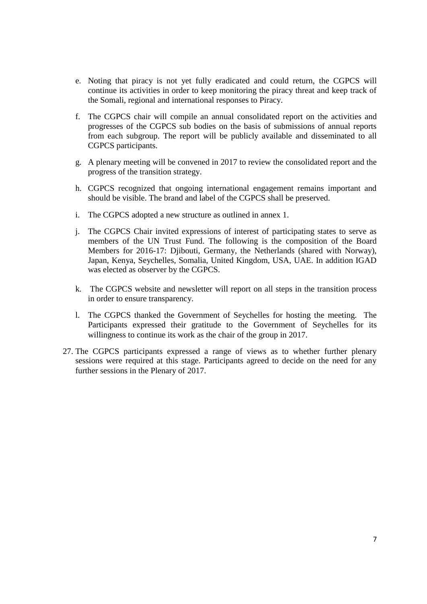- e. Noting that piracy is not yet fully eradicated and could return, the CGPCS will continue its activities in order to keep monitoring the piracy threat and keep track of the Somali, regional and international responses to Piracy.
- f. The CGPCS chair will compile an annual consolidated report on the activities and progresses of the CGPCS sub bodies on the basis of submissions of annual reports from each subgroup. The report will be publicly available and disseminated to all CGPCS participants.
- g. A plenary meeting will be convened in 2017 to review the consolidated report and the progress of the transition strategy.
- h. CGPCS recognized that ongoing international engagement remains important and should be visible. The brand and label of the CGPCS shall be preserved.
- i. The CGPCS adopted a new structure as outlined in annex 1.
- j. The CGPCS Chair invited expressions of interest of participating states to serve as members of the UN Trust Fund. The following is the composition of the Board Members for 2016-17: Djibouti, Germany, the Netherlands (shared with Norway), Japan, Kenya, Seychelles, Somalia, United Kingdom, USA, UAE. In addition IGAD was elected as observer by the CGPCS.
- k. The CGPCS website and newsletter will report on all steps in the transition process in order to ensure transparency.
- l. The CGPCS thanked the Government of Seychelles for hosting the meeting. The Participants expressed their gratitude to the Government of Seychelles for its willingness to continue its work as the chair of the group in 2017.
- 27. The CGPCS participants expressed a range of views as to whether further plenary sessions were required at this stage. Participants agreed to decide on the need for any further sessions in the Plenary of 2017.